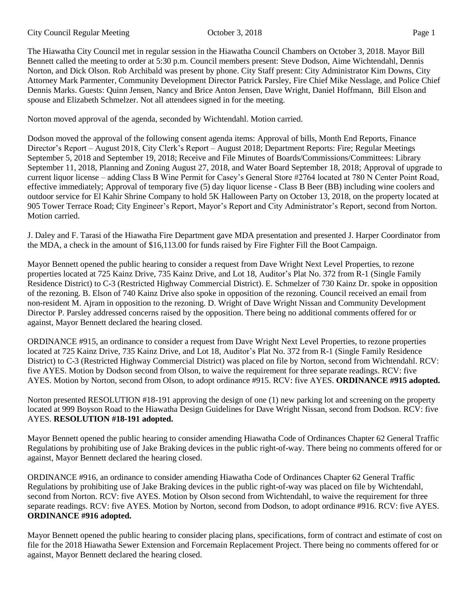The Hiawatha City Council met in regular session in the Hiawatha Council Chambers on October 3, 2018. Mayor Bill

Bennett called the meeting to order at 5:30 p.m. Council members present: Steve Dodson, Aime Wichtendahl, Dennis Norton, and Dick Olson. Rob Archibald was present by phone. City Staff present: City Administrator Kim Downs, City Attorney Mark Parmenter, Community Development Director Patrick Parsley, Fire Chief Mike Nesslage, and Police Chief Dennis Marks. Guests: Quinn Jensen, Nancy and Brice Anton Jensen, Dave Wright, Daniel Hoffmann, Bill Elson and spouse and Elizabeth Schmelzer. Not all attendees signed in for the meeting.

Norton moved approval of the agenda, seconded by Wichtendahl. Motion carried.

Dodson moved the approval of the following consent agenda items: Approval of bills, Month End Reports, Finance Director's Report – August 2018, City Clerk's Report – August 2018; Department Reports: Fire; Regular Meetings September 5, 2018 and September 19, 2018; Receive and File Minutes of Boards/Commissions/Committees: Library September 11, 2018, Planning and Zoning August 27, 2018, and Water Board September 18, 2018; Approval of upgrade to current liquor license – adding Class B Wine Permit for Casey's General Store #2764 located at 780 N Center Point Road, effective immediately; Approval of temporary five (5) day liquor license - Class B Beer (BB) including wine coolers and outdoor service for El Kahir Shrine Company to hold 5K Halloween Party on October 13, 2018, on the property located at 905 Tower Terrace Road; City Engineer's Report, Mayor's Report and City Administrator's Report, second from Norton. Motion carried.

J. Daley and F. Tarasi of the Hiawatha Fire Department gave MDA presentation and presented J. Harper Coordinator from the MDA, a check in the amount of \$16,113.00 for funds raised by Fire Fighter Fill the Boot Campaign.

Mayor Bennett opened the public hearing to consider a request from Dave Wright Next Level Properties, to rezone properties located at 725 Kainz Drive, 735 Kainz Drive, and Lot 18, Auditor's Plat No. 372 from R-1 (Single Family Residence District) to C-3 (Restricted Highway Commercial District). E. Schmelzer of 730 Kainz Dr. spoke in opposition of the rezoning. B. Elson of 740 Kainz Drive also spoke in opposition of the rezoning. Council received an email from non-resident M. Ajram in opposition to the rezoning. D. Wright of Dave Wright Nissan and Community Development Director P. Parsley addressed concerns raised by the opposition. There being no additional comments offered for or against, Mayor Bennett declared the hearing closed.

ORDINANCE #915, an ordinance to consider a request from Dave Wright Next Level Properties, to rezone properties located at 725 Kainz Drive, 735 Kainz Drive, and Lot 18, Auditor's Plat No. 372 from R-1 (Single Family Residence District) to C-3 (Restricted Highway Commercial District) was placed on file by Norton, second from Wichtendahl. RCV: five AYES. Motion by Dodson second from Olson, to waive the requirement for three separate readings. RCV: five AYES. Motion by Norton, second from Olson, to adopt ordinance #915. RCV: five AYES. **ORDINANCE #915 adopted.**

Norton presented RESOLUTION #18-191 approving the design of one (1) new parking lot and screening on the property located at 999 Boyson Road to the Hiawatha Design Guidelines for Dave Wright Nissan, second from Dodson. RCV: five AYES. **RESOLUTION #18-191 adopted.** 

Mayor Bennett opened the public hearing to consider amending Hiawatha Code of Ordinances Chapter 62 General Traffic Regulations by prohibiting use of Jake Braking devices in the public right-of-way. There being no comments offered for or against, Mayor Bennett declared the hearing closed.

ORDINANCE #916, an ordinance to consider amending Hiawatha Code of Ordinances Chapter 62 General Traffic Regulations by prohibiting use of Jake Braking devices in the public right-of-way was placed on file by Wichtendahl, second from Norton. RCV: five AYES. Motion by Olson second from Wichtendahl, to waive the requirement for three separate readings. RCV: five AYES. Motion by Norton, second from Dodson, to adopt ordinance #916. RCV: five AYES. **ORDINANCE #916 adopted.**

Mayor Bennett opened the public hearing to consider placing plans, specifications, form of contract and estimate of cost on file for the 2018 Hiawatha Sewer Extension and Forcemain Replacement Project. There being no comments offered for or against, Mayor Bennett declared the hearing closed.